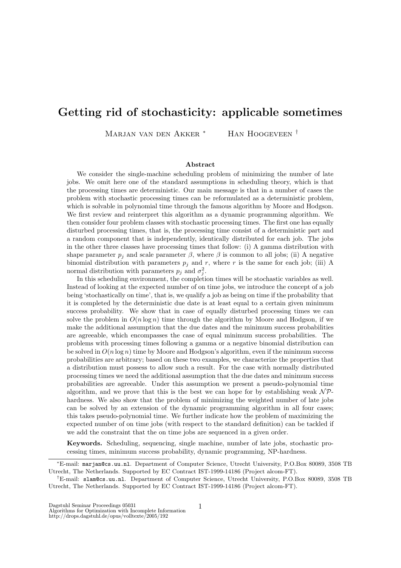## Getting rid of stochasticity: applicable sometimes

Marjan van den Akker<sup>\*</sup> Han Hoogeveen <sup>†</sup>

## Abstract

We consider the single-machine scheduling problem of minimizing the number of late jobs. We omit here one of the standard assumptions in scheduling theory, which is that the processing times are deterministic. Our main message is that in a number of cases the problem with stochastic processing times can be reformulated as a deterministic problem, which is solvable in polynomial time through the famous algorithm by Moore and Hodgson. We first review and reinterpret this algorithm as a dynamic programming algorithm. We then consider four problem classes with stochastic processing times. The first one has equally disturbed processing times, that is, the processing time consist of a deterministic part and a random component that is independently, identically distributed for each job. The jobs in the other three classes have processing times that follow: (i) A gamma distribution with shape parameter  $p_i$  and scale parameter  $\beta$ , where  $\beta$  is common to all jobs; (ii) A negative binomial distribution with parameters  $p_i$  and r, where r is the same for each job; (iii) A normal distribution with parameters  $p_j$  and  $\sigma_j^2$ .

In this scheduling environment, the completion times will be stochastic variables as well. Instead of looking at the expected number of on time jobs, we introduce the concept of a job being 'stochastically on time', that is, we qualify a job as being on time if the probability that it is completed by the deterministic due date is at least equal to a certain given minimum success probability. We show that in case of equally disturbed processing times we can solve the problem in  $O(n \log n)$  time through the algorithm by Moore and Hodgson, if we make the additional assumption that the due dates and the minimum success probabilities are agreeable, which encompasses the case of equal minimum success probabilities. The problems with processing times following a gamma or a negative binomial distribution can be solved in  $O(n \log n)$  time by Moore and Hodgson's algorithm, even if the minimum success probabilities are arbitrary; based on these two examples, we characterize the properties that a distribution must possess to allow such a result. For the case with normally distributed processing times we need the additional assumption that the due dates and minimum success probabilities are agreeable. Under this assumption we present a pseudo-polynomial time algorithm, and we prove that this is the best we can hope for by establishing weak  $N\mathcal{P}$ hardness. We also show that the problem of minimizing the weighted number of late jobs can be solved by an extension of the dynamic programming algorithm in all four cases; this takes pseudo-polynomial time. We further indicate how the problem of maximizing the expected number of on time jobs (with respect to the standard definition) can be tackled if we add the constraint that the on time jobs are sequenced in a given order.

Keywords. Scheduling, sequencing, single machine, number of late jobs, stochastic processing times, minimum success probability, dynamic programming, NP-hardness.

<sup>∗</sup>E-mail: marjan@cs.uu.nl. Department of Computer Science, Utrecht University, P.O.Box 80089, 3508 TB Utrecht, The Netherlands. Supported by EC Contract IST-1999-14186 (Project alcom-FT).

<sup>†</sup>E-mail: slam@cs.uu.nl. Department of Computer Science, Utrecht University, P.O.Box 80089, 3508 TB Utrecht, The Netherlands. Supported by EC Contract IST-1999-14186 (Project alcom-FT).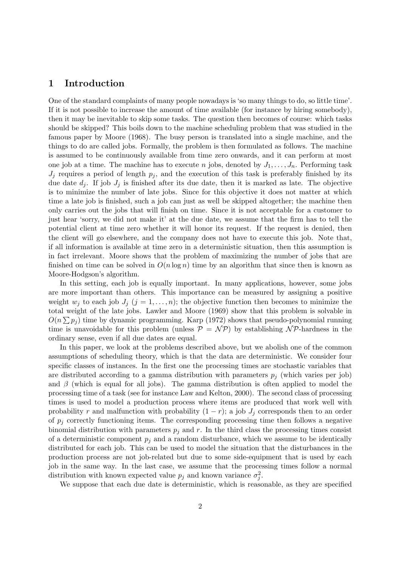## 1 Introduction

One of the standard complaints of many people nowadays is 'so many things to do, so little time'. If it is not possible to increase the amount of time available (for instance by hiring somebody), then it may be inevitable to skip some tasks. The question then becomes of course: which tasks should be skipped? This boils down to the machine scheduling problem that was studied in the famous paper by Moore (1968). The busy person is translated into a single machine, and the things to do are called jobs. Formally, the problem is then formulated as follows. The machine is assumed to be continuously available from time zero onwards, and it can perform at most one job at a time. The machine has to execute n jobs, denoted by  $J_1, \ldots, J_n$ . Performing task  $J_i$  requires a period of length  $p_i$ , and the execution of this task is preferably finished by its due date  $d_i$ . If job  $J_i$  is finished after its due date, then it is marked as late. The objective is to minimize the number of late jobs. Since for this objective it does not matter at which time a late job is finished, such a job can just as well be skipped altogether; the machine then only carries out the jobs that will finish on time. Since it is not acceptable for a customer to just hear 'sorry, we did not make it' at the due date, we assume that the firm has to tell the potential client at time zero whether it will honor its request. If the request is denied, then the client will go elsewhere, and the company does not have to execute this job. Note that, if all information is available at time zero in a deterministic situation, then this assumption is in fact irrelevant. Moore shows that the problem of maximizing the number of jobs that are finished on time can be solved in  $O(n \log n)$  time by an algorithm that since then is known as Moore-Hodgson's algorithm.

In this setting, each job is equally important. In many applications, however, some jobs are more important than others. This importance can be measured by assigning a positive weight  $w_j$  to each job  $J_j$   $(j = 1, \ldots, n)$ ; the objective function then becomes to minimize the total weight of the late jobs. Lawler and Moore (1969) show that this problem is solvable in  $O(n \sum p_j)$  time by dynamic programming. Karp (1972) shows that pseudo-polynomial running time is unavoidable for this problem (unless  $\mathcal{P} = \mathcal{NP}$ ) by establishing NP-hardness in the ordinary sense, even if all due dates are equal.

In this paper, we look at the problems described above, but we abolish one of the common assumptions of scheduling theory, which is that the data are deterministic. We consider four specific classes of instances. In the first one the processing times are stochastic variables that are distributed according to a gamma distribution with parameters  $p_i$  (which varies per job) and  $\beta$  (which is equal for all jobs). The gamma distribution is often applied to model the processing time of a task (see for instance Law and Kelton, 2000). The second class of processing times is used to model a production process where items are produced that work well with probability r and malfunction with probability  $(1 - r)$ ; a job  $J_i$  corresponds then to an order of  $p_i$  correctly functioning items. The corresponding processing time then follows a negative binomial distribution with parameters  $p_i$  and r. In the third class the processing times consist of a deterministic component  $p_i$  and a random disturbance, which we assume to be identically distributed for each job. This can be used to model the situation that the disturbances in the production process are not job-related but due to some side-equipment that is used by each job in the same way. In the last case, we assume that the processing times follow a normal distribution with known expected value  $p_j$  and known variance  $\sigma_j^2$ .

We suppose that each due date is deterministic, which is reasonable, as they are specified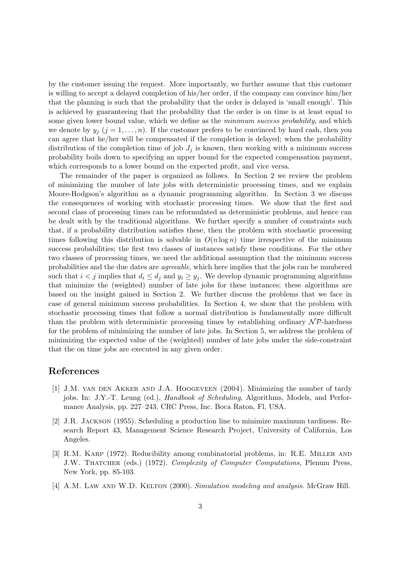by the customer issuing the request. More importantly, we further assume that this customer is willing to accept a delayed completion of his/her order, if the company can convince him/her that the planning is such that the probability that the order is delayed is 'small enough'. This is achieved by guaranteeing that the probability that the order is on time is at least equal to some given lower bound value, which we define as the *minimum success probability*, and which we denote by  $y_j$   $(j = 1, ..., n)$ . If the customer prefers to be convinced by hard cash, then you can agree that he/her will be compensated if the completion is delayed; when the probability distribution of the completion time of job  $J_i$  is known, then working with a minimum success probability boils down to specifying an upper bound for the expected compensation payment, which corresponds to a lower bound on the expected profit, and vice versa.

The remainder of the paper is organized as follows. In Section 2 we review the problem of minimizing the number of late jobs with deterministic processing times, and we explain Moore-Hodgson's algorithm as a dynamic programming algorithm. In Section 3 we discuss the consequences of working with stochastic processing times. We show that the first and second class of processing times can be reformulated as deterministic problems, and hence can be dealt with by the traditional algorithms. We further specify a number of constraints such that, if a probability distribution satisfies these, then the problem with stochastic processing times following this distribution is solvable in  $O(n \log n)$  time irrespective of the minimum success probabilities; the first two classes of instances satisfy these conditions. For the other two classes of processing times, we need the additional assumption that the minimum success probabilities and the due dates are agreeable, which here implies that the jobs can be numbered such that  $i < j$  implies that  $d_i \leq d_j$  and  $y_i \geq y_j$ . We develop dynamic programming algorithms that minimize the (weighted) number of late jobs for these instances; these algorithms are based on the insight gained in Section 2. We further discuss the problems that we face in case of general minimum success probabilities. In Section 4, we show that the problem with stochastic processing times that follow a normal distribution is fundamentally more difficult than the problem with deterministic processing times by establishing ordinary  $\mathcal{NP}$ -hardness for the problem of minimizing the number of late jobs. In Section 5, we address the problem of minimizing the expected value of the (weighted) number of late jobs under the side-constraint that the on time jobs are executed in any given order.

## References

- [1] J.M. van den Akker and J.A. Hoogeveen (2004). Minimizing the number of tardy jobs. In: J.Y.-T. Leung (ed.), *Handbook of Scheduling*, Algorithms, Models, and Performance Analysis, pp. 227–243, CRC Press, Inc. Boca Raton, Fl, USA.
- [2] J.R. Jackson (1955). Scheduling a production line to minimize maximum tardiness. Research Report 43, Management Science Research Project, University of California, Los Angeles.
- [3] R.M. Karp (1972). Reducibility among combinatorial problems, in: R.E. Miller and J.W. THATCHER (eds.) (1972). Complexity of Computer Computations, Plenum Press, New York, pp. 85-103.
- [4] A.M. LAW AND W.D. KELTON (2000). Simulation modeling and analysis. McGraw Hill.